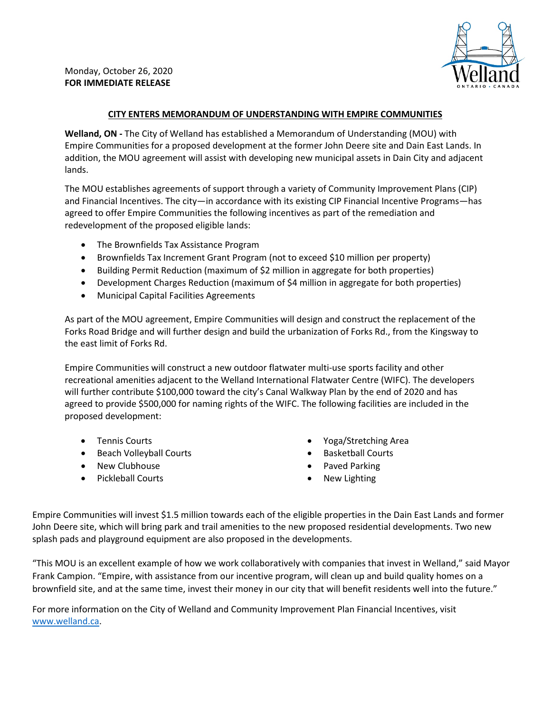

## **CITY ENTERS MEMORANDUM OF UNDERSTANDING WITH EMPIRE COMMUNITIES**

**Welland, ON -** The City of Welland has established a Memorandum of Understanding (MOU) with Empire Communities for a proposed development at the former John Deere site and Dain East Lands. In addition, the MOU agreement will assist with developing new municipal assets in Dain City and adjacent lands.

The MOU establishes agreements of support through a variety of Community Improvement Plans (CIP) and Financial Incentives. The city—in accordance with its existing CIP Financial Incentive Programs—has agreed to offer Empire Communities the following incentives as part of the remediation and redevelopment of the proposed eligible lands:

- The Brownfields Tax Assistance Program
- Brownfields Tax Increment Grant Program (not to exceed \$10 million per property)
- Building Permit Reduction (maximum of \$2 million in aggregate for both properties)
- Development Charges Reduction (maximum of \$4 million in aggregate for both properties)
- Municipal Capital Facilities Agreements

As part of the MOU agreement, Empire Communities will design and construct the replacement of the Forks Road Bridge and will further design and build the urbanization of Forks Rd., from the Kingsway to the east limit of Forks Rd.

Empire Communities will construct a new outdoor flatwater multi-use sports facility and other recreational amenities adjacent to the Welland International Flatwater Centre (WIFC). The developers will further contribute \$100,000 toward the city's Canal Walkway Plan by the end of 2020 and has agreed to provide \$500,000 for naming rights of the WIFC. The following facilities are included in the proposed development:

- Tennis Courts
- Beach Volleyball Courts
- New Clubhouse
- Pickleball Courts
- Yoga/Stretching Area
- Basketball Courts
- Paved Parking
- New Lighting

Empire Communities will invest \$1.5 million towards each of the eligible properties in the Dain East Lands and former John Deere site, which will bring park and trail amenities to the new proposed residential developments. Two new splash pads and playground equipment are also proposed in the developments.

"This MOU is an excellent example of how we work collaboratively with companies that invest in Welland," said Mayor Frank Campion. "Empire, with assistance from our incentive program, will clean up and build quality homes on a brownfield site, and at the same time, invest their money in our city that will benefit residents well into the future."

For more information on the City of Welland and Community Improvement Plan Financial Incentives, visit [www.welland.ca.](http://www.welland.ca/)